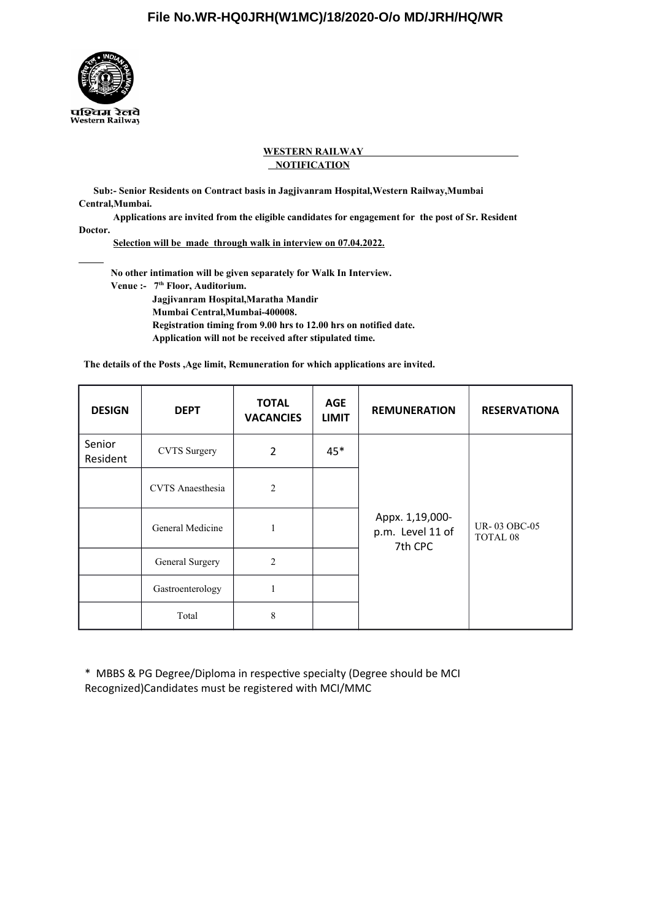

# **WESTERN RAILWAY NOTIFICATION**

 **Sub:- Senior Residents on Contract basis in Jagjivanram Hospital,Western Railway,Mumbai Central,Mumbai.** 

 **Applications are invited from the eligible candidates for engagement for the post of Sr. Resident Doctor.**

 **Selection will be made through walk in interview on 07.04.2022.**

 **No other intimation will be given separately for Walk In Interview. Venue :- 7th Floor, Auditorium. Jagjivanram Hospital,Maratha Mandir Mumbai Central,Mumbai-400008. Registration timing from 9.00 hrs to 12.00 hrs on notified date. Application will not be received after stipulated time.**

 **The details of the Posts ,Age limit, Remuneration for which applications are invited.** 

| <b>DESIGN</b>      | <b>DEPT</b>             | <b>TOTAL</b><br><b>VACANCIES</b> | <b>AGE</b><br><b>LIMIT</b> | <b>REMUNERATION</b>                            | <b>RESERVATIONA</b>                 |
|--------------------|-------------------------|----------------------------------|----------------------------|------------------------------------------------|-------------------------------------|
| Senior<br>Resident | <b>CVTS</b> Surgery     | 2                                | $45*$                      |                                                |                                     |
|                    | <b>CVTS</b> Anaesthesia | $\overline{2}$                   |                            |                                                |                                     |
|                    | General Medicine        | 1                                |                            | Appx. 1,19,000-<br>p.m. Level 11 of<br>7th CPC | UR-03 OBC-05<br>TOTAL <sub>08</sub> |
|                    | General Surgery         | $\overline{2}$                   |                            |                                                |                                     |
|                    | Gastroenterology        | 1                                |                            |                                                |                                     |
|                    | Total                   | 8                                |                            |                                                |                                     |

\* MBBS & PG Degree/Diploma in respectve specialty (Degree should be MCI Recognized)Candidates must be registered with MCI/MMC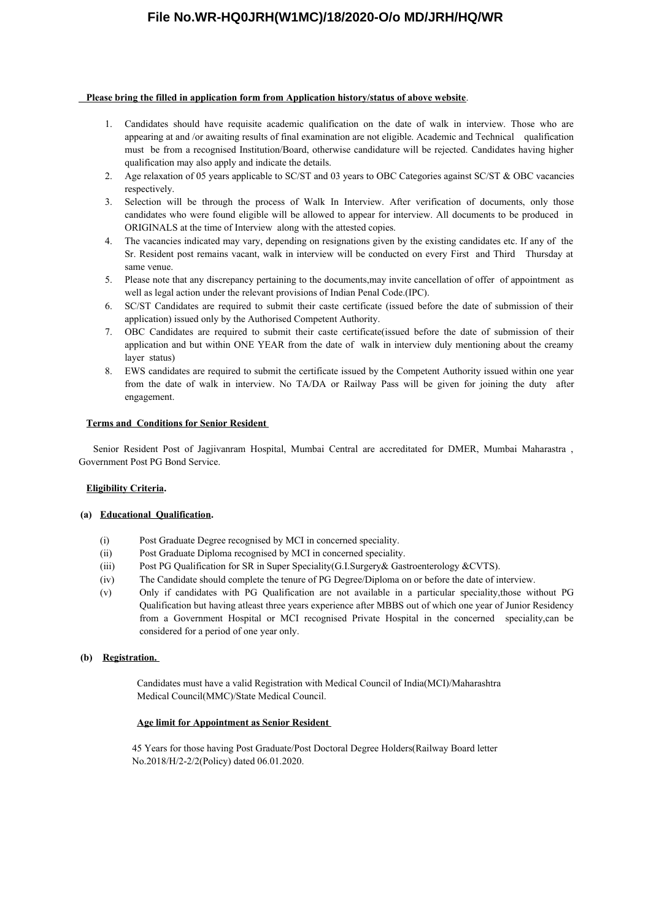# **File No.WR-HQ0JRH(W1MC)/18/2020-O/o MD/JRH/HQ/WR**

## **Please bring the filled in application form from Application history/status of above website**.

- 1. Candidates should have requisite academic qualification on the date of walk in interview. Those who are appearing at and /or awaiting results of final examination are not eligible. Academic and Technical qualification must be from a recognised Institution/Board, otherwise candidature will be rejected. Candidates having higher qualification may also apply and indicate the details.
- 2. Age relaxation of 05 years applicable to SC/ST and 03 years to OBC Categories against SC/ST & OBC vacancies respectively.
- 3. Selection will be through the process of Walk In Interview. After verification of documents, only those candidates who were found eligible will be allowed to appear for interview. All documents to be produced in ORIGINALS at the time of Interview along with the attested copies.
- 4. The vacancies indicated may vary, depending on resignations given by the existing candidates etc. If any of the Sr. Resident post remains vacant, walk in interview will be conducted on every First and Third Thursday at same venue.
- 5. Please note that any discrepancy pertaining to the documents,may invite cancellation of offer of appointment as well as legal action under the relevant provisions of Indian Penal Code.(IPC).
- 6. SC/ST Candidates are required to submit their caste certificate (issued before the date of submission of their application) issued only by the Authorised Competent Authority.
- 7. OBC Candidates are required to submit their caste certificate(issued before the date of submission of their application and but within ONE YEAR from the date of walk in interview duly mentioning about the creamy layer status)
- 8. EWS candidates are required to submit the certificate issued by the Competent Authority issued within one year from the date of walk in interview. No TA/DA or Railway Pass will be given for joining the duty after engagement.

## **Terms and Conditions for Senior Resident**

 Senior Resident Post of Jagjivanram Hospital, Mumbai Central are accreditated for DMER, Mumbai Maharastra , Government Post PG Bond Service.

# **Eligibility Criteria.**

## **(a) Educational Qualification.**

- (i) Post Graduate Degree recognised by MCI in concerned speciality.
- (ii) Post Graduate Diploma recognised by MCI in concerned speciality.
- (iii) Post PG Qualification for SR in Super Speciality(G.I.Surgery& Gastroenterology &CVTS).
- (iv) The Candidate should complete the tenure of PG Degree/Diploma on or before the date of interview.
- (v) Only if candidates with PG Qualification are not available in a particular speciality,those without PG Qualification but having atleast three years experience after MBBS out of which one year of Junior Residency from a Government Hospital or MCI recognised Private Hospital in the concerned speciality,can be considered for a period of one year only.

## **(b) Registration.**

 Candidates must have a valid Registration with Medical Council of India(MCI)/Maharashtra Medical Council(MMC)/State Medical Council.

#### **Age limit for Appointment as Senior Resident**

 45 Years for those having Post Graduate/Post Doctoral Degree Holders(Railway Board letter No.2018/H/2-2/2(Policy) dated 06.01.2020.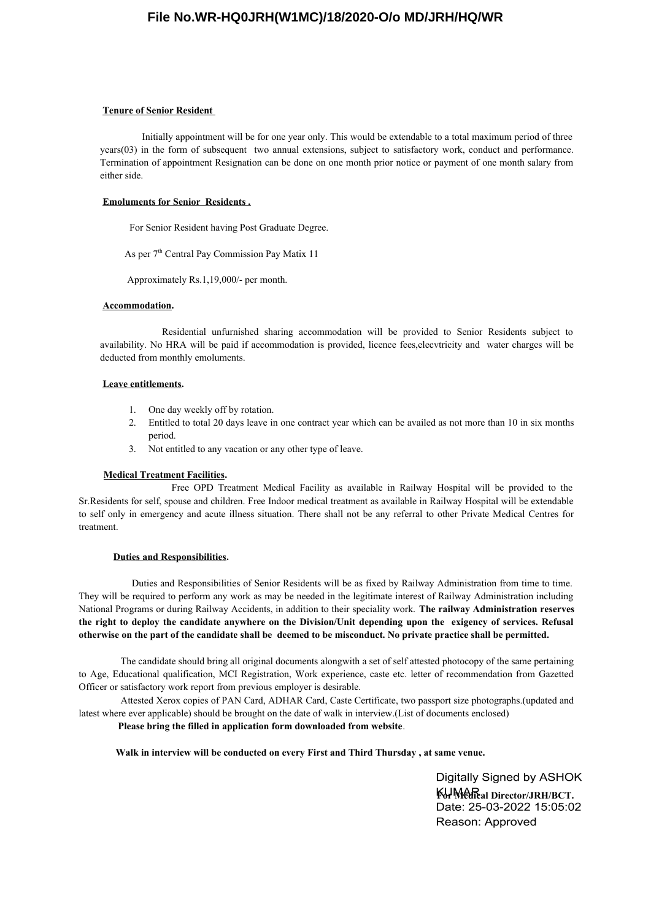# **File No.WR-HQ0JRH(W1MC)/18/2020-O/o MD/JRH/HQ/WR**

#### **Tenure of Senior Resident**

 Initially appointment will be for one year only. This would be extendable to a total maximum period of three years(03) in the form of subsequent two annual extensions, subject to satisfactory work, conduct and performance. Termination of appointment Resignation can be done on one month prior notice or payment of one month salary from either side.

#### **Emoluments for Senior Residents .**

For Senior Resident having Post Graduate Degree.

As per 7<sup>th</sup> Central Pay Commission Pay Matix 11

Approximately Rs.1,19,000/- per month.

### **Accommodation.**

 Residential unfurnished sharing accommodation will be provided to Senior Residents subject to availability. No HRA will be paid if accommodation is provided, licence fees,elecvtricity and water charges will be deducted from monthly emoluments.

## **Leave entitlements.**

- 1. One day weekly off by rotation.
- 2. Entitled to total 20 days leave in one contract year which can be availed as not more than 10 in six months period.
- 3. Not entitled to any vacation or any other type of leave.

## **Medical Treatment Facilities.**

 Free OPD Treatment Medical Facility as available in Railway Hospital will be provided to the Sr.Residents for self, spouse and children. Free Indoor medical treatment as available in Railway Hospital will be extendable to self only in emergency and acute illness situation. There shall not be any referral to other Private Medical Centres for treatment.

#### **Duties and Responsibilities.**

 Duties and Responsibilities of Senior Residents will be as fixed by Railway Administration from time to time. They will be required to perform any work as may be needed in the legitimate interest of Railway Administration including National Programs or during Railway Accidents, in addition to their speciality work. **The railway Administration reserves the right to deploy the candidate anywhere on the Division/Unit depending upon the exigency of services. Refusal otherwise on the part of the candidate shall be deemed to be misconduct. No private practice shall be permitted.**

 The candidate should bring all original documents alongwith a set of self attested photocopy of the same pertaining to Age, Educational qualification, MCI Registration, Work experience, caste etc. letter of recommendation from Gazetted Officer or satisfactory work report from previous employer is desirable.

 Attested Xerox copies of PAN Card, ADHAR Card, Caste Certificate, two passport size photographs.(updated and latest where ever applicable) should be brought on the date of walk in interview.(List of documents enclosed)

# **Please bring the filled in application form downloaded from website**.

**Walk in interview will be conducted on every First and Third Thursday , at same venue.**

Digitally Signed by ASHOK **KHMedical Director/JRH/BCT.<br>Date: 25-03-2022 15:05:02** Reason: Approved